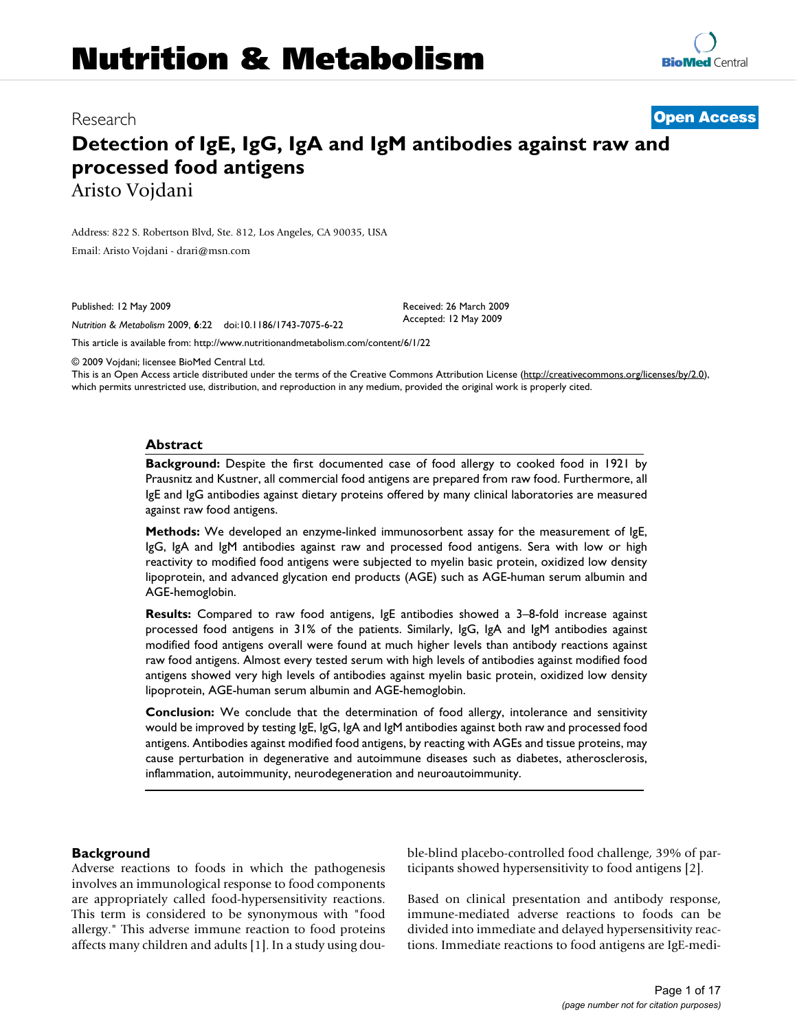# **Nutrition & Metabolism**

Research **[Open Access](http://www.biomedcentral.com/info/about/charter/)**

## **Detection of IgE, IgG, IgA and IgM antibodies against raw and processed food antigens** Aristo Vojdani

Address: 822 S. Robertson Blvd, Ste. 812, Los Angeles, CA 90035, USA Email: Aristo Vojdani - drari@msn.co[m](http://www.ncbi.nlm.nih.gov/entrez/query.fcgi?cmd=Retrieve&db=PubMed&dopt=Abstract&list_uids=19435515)

Published: 12 May 2009

*Nutrition & Metabolism* 2009, **6**:22 doi:10.1186/1743-7075-6-22

[This article is available from: http://www.nutritionandmetabolism.com/content/6/1/22](http://www.nutritionandmetabolism.com/content/6/1/22)

© 2009 Vojdani; licensee BioMed Central Ltd.

This is an Open Access article distributed under the terms of the Creative Commons Attribution License [\(http://creativecommons.org/licenses/by/2.0\)](http://creativecommons.org/licenses/by/2.0), which permits unrestricted use, distribution, and reproduction in any medium, provided the original work is properly cited.

Received: 26 March 2009 Accepted: 12 May 2009

#### **Abstract**

**Background:** Despite the first documented case of food allergy to cooked food in 1921 by Prausnitz and Kustner, all commercial food antigens are prepared from raw food. Furthermore, all IgE and IgG antibodies against dietary proteins offered by many clinical laboratories are measured against raw food antigens.

**Methods:** We developed an enzyme-linked immunosorbent assay for the measurement of IgE, IgG, IgA and IgM antibodies against raw and processed food antigens. Sera with low or high reactivity to modified food antigens were subjected to myelin basic protein, oxidized low density lipoprotein, and advanced glycation end products (AGE) such as AGE-human serum albumin and AGE-hemoglobin.

**Results:** Compared to raw food antigens, IgE antibodies showed a 3–8-fold increase against processed food antigens in 31% of the patients. Similarly, IgG, IgA and IgM antibodies against modified food antigens overall were found at much higher levels than antibody reactions against raw food antigens. Almost every tested serum with high levels of antibodies against modified food antigens showed very high levels of antibodies against myelin basic protein, oxidized low density lipoprotein, AGE-human serum albumin and AGE-hemoglobin.

**Conclusion:** We conclude that the determination of food allergy, intolerance and sensitivity would be improved by testing IgE, IgG, IgA and IgM antibodies against both raw and processed food antigens. Antibodies against modified food antigens, by reacting with AGEs and tissue proteins, may cause perturbation in degenerative and autoimmune diseases such as diabetes, atherosclerosis, inflammation, autoimmunity, neurodegeneration and neuroautoimmunity.

#### **Background**

Adverse reactions to foods in which the pathogenesis involves an immunological response to food components are appropriately called food-hypersensitivity reactions. This term is considered to be synonymous with "food allergy." This adverse immune reaction to food proteins affects many children and adults [1]. In a study using double-blind placebo-controlled food challenge, 39% of participants showed hypersensitivity to food antigens [2].

Based on clinical presentation and antibody response, immune-mediated adverse reactions to foods can be divided into immediate and delayed hypersensitivity reactions. Immediate reactions to food antigens are IgE-medi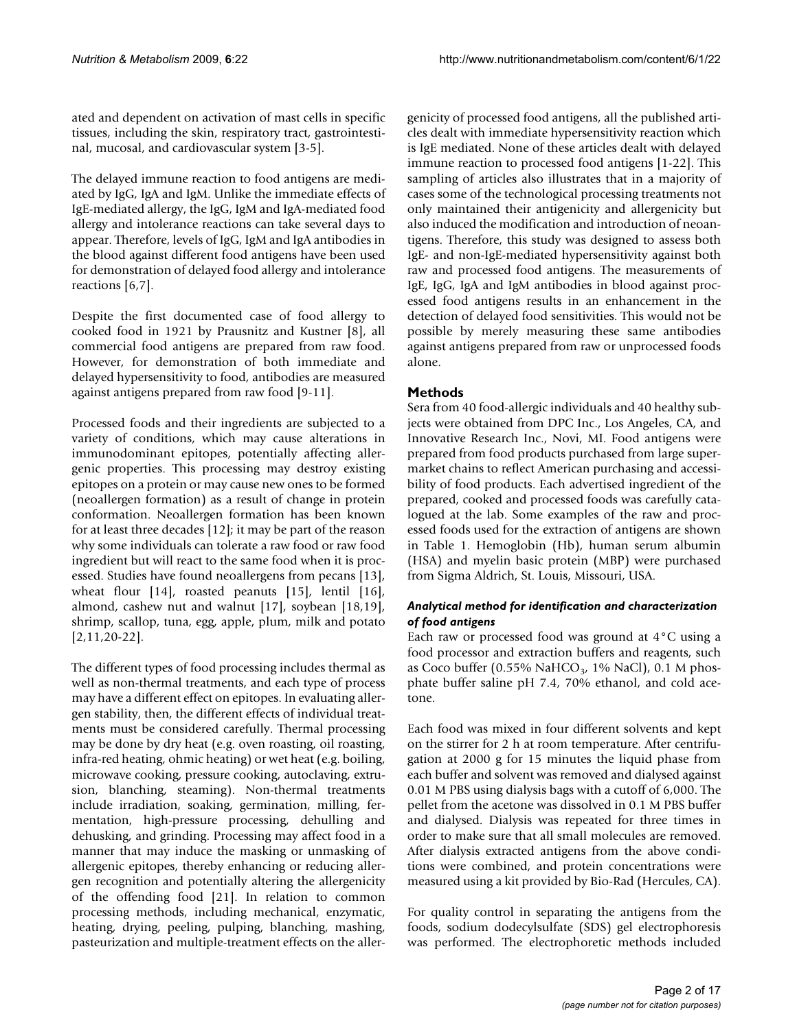ated and dependent on activation of mast cells in specific tissues, including the skin, respiratory tract, gastrointestinal, mucosal, and cardiovascular system [3-5].

The delayed immune reaction to food antigens are mediated by IgG, IgA and IgM. Unlike the immediate effects of IgE-mediated allergy, the IgG, IgM and IgA-mediated food allergy and intolerance reactions can take several days to appear. Therefore, levels of IgG, IgM and IgA antibodies in the blood against different food antigens have been used for demonstration of delayed food allergy and intolerance reactions [6,7].

Despite the first documented case of food allergy to cooked food in 1921 by Prausnitz and Kustner [8], all commercial food antigens are prepared from raw food. However, for demonstration of both immediate and delayed hypersensitivity to food, antibodies are measured against antigens prepared from raw food [9-11].

Processed foods and their ingredients are subjected to a variety of conditions, which may cause alterations in immunodominant epitopes, potentially affecting allergenic properties. This processing may destroy existing epitopes on a protein or may cause new ones to be formed (neoallergen formation) as a result of change in protein conformation. Neoallergen formation has been known for at least three decades [12]; it may be part of the reason why some individuals can tolerate a raw food or raw food ingredient but will react to the same food when it is processed. Studies have found neoallergens from pecans [13], wheat flour [14], roasted peanuts [15], lentil [16], almond, cashew nut and walnut [17], soybean [18,19], shrimp, scallop, tuna, egg, apple, plum, milk and potato [2,11,20-22].

The different types of food processing includes thermal as well as non-thermal treatments, and each type of process may have a different effect on epitopes. In evaluating allergen stability, then, the different effects of individual treatments must be considered carefully. Thermal processing may be done by dry heat (e.g. oven roasting, oil roasting, infra-red heating, ohmic heating) or wet heat (e.g. boiling, microwave cooking, pressure cooking, autoclaving, extrusion, blanching, steaming). Non-thermal treatments include irradiation, soaking, germination, milling, fermentation, high-pressure processing, dehulling and dehusking, and grinding. Processing may affect food in a manner that may induce the masking or unmasking of allergenic epitopes, thereby enhancing or reducing allergen recognition and potentially altering the allergenicity of the offending food [21]. In relation to common processing methods, including mechanical, enzymatic, heating, drying, peeling, pulping, blanching, mashing, pasteurization and multiple-treatment effects on the allergenicity of processed food antigens, all the published articles dealt with immediate hypersensitivity reaction which is IgE mediated. None of these articles dealt with delayed immune reaction to processed food antigens [1-22]. This sampling of articles also illustrates that in a majority of cases some of the technological processing treatments not only maintained their antigenicity and allergenicity but also induced the modification and introduction of neoantigens. Therefore, this study was designed to assess both IgE- and non-IgE-mediated hypersensitivity against both raw and processed food antigens. The measurements of IgE, IgG, IgA and IgM antibodies in blood against processed food antigens results in an enhancement in the detection of delayed food sensitivities. This would not be possible by merely measuring these same antibodies against antigens prepared from raw or unprocessed foods alone.

### **Methods**

Sera from 40 food-allergic individuals and 40 healthy subjects were obtained from DPC Inc., Los Angeles, CA, and Innovative Research Inc., Novi, MI. Food antigens were prepared from food products purchased from large supermarket chains to reflect American purchasing and accessibility of food products. Each advertised ingredient of the prepared, cooked and processed foods was carefully catalogued at the lab. Some examples of the raw and processed foods used for the extraction of antigens are shown in Table 1. Hemoglobin (Hb), human serum albumin (HSA) and myelin basic protein (MBP) were purchased from Sigma Aldrich, St. Louis, Missouri, USA.

### *Analytical method for identification and characterization of food antigens*

Each raw or processed food was ground at 4°C using a food processor and extraction buffers and reagents, such as Coco buffer (0.55% NaHCO<sub>3</sub>, 1% NaCl), 0.1 M phosphate buffer saline pH 7.4, 70% ethanol, and cold acetone.

Each food was mixed in four different solvents and kept on the stirrer for 2 h at room temperature. After centrifugation at 2000 g for 15 minutes the liquid phase from each buffer and solvent was removed and dialysed against 0.01 M PBS using dialysis bags with a cutoff of 6,000. The pellet from the acetone was dissolved in 0.1 M PBS buffer and dialysed. Dialysis was repeated for three times in order to make sure that all small molecules are removed. After dialysis extracted antigens from the above conditions were combined, and protein concentrations were measured using a kit provided by Bio-Rad (Hercules, CA).

For quality control in separating the antigens from the foods, sodium dodecylsulfate (SDS) gel electrophoresis was performed. The electrophoretic methods included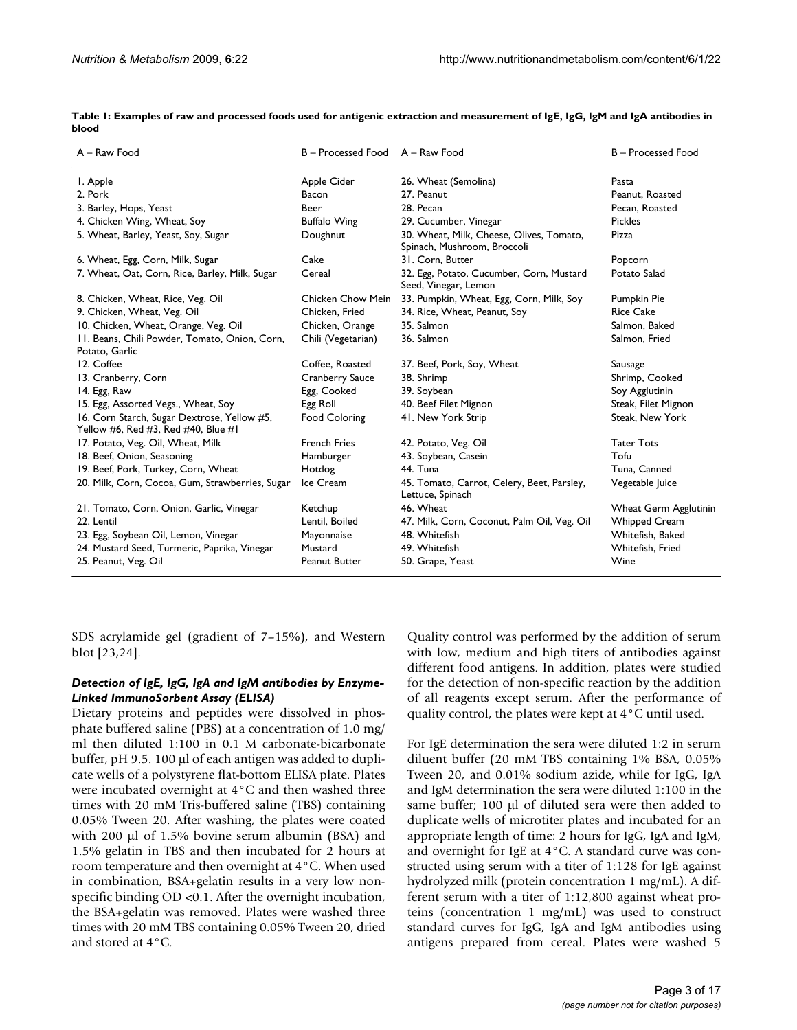| A - Raw Food                                                                       | B - Processed Food     | A - Raw Food                                                                     | B - Processed Food    |  |
|------------------------------------------------------------------------------------|------------------------|----------------------------------------------------------------------------------|-----------------------|--|
| I. Apple                                                                           | Apple Cider            | 26. Wheat (Semolina)                                                             | Pasta                 |  |
| 2. Pork                                                                            | Bacon                  | 27. Peanut                                                                       | Peanut, Roasted       |  |
| 3. Barley, Hops, Yeast                                                             | Beer                   | 28. Pecan                                                                        | Pecan, Roasted        |  |
| 4. Chicken Wing, Wheat, Soy                                                        | <b>Buffalo Wing</b>    | 29. Cucumber, Vinegar                                                            | <b>Pickles</b>        |  |
| 5. Wheat, Barley, Yeast, Soy, Sugar                                                | Doughnut               | 30. Wheat, Milk, Cheese, Olives, Tomato,<br>Pizza<br>Spinach, Mushroom, Broccoli |                       |  |
| 6. Wheat, Egg, Corn, Milk, Sugar                                                   | Cake                   | 31. Corn, Butter                                                                 | Popcorn               |  |
| 7. Wheat, Oat, Corn, Rice, Barley, Milk, Sugar                                     | Cereal                 | 32. Egg, Potato, Cucumber, Corn, Mustard<br>Seed, Vinegar, Lemon                 | Potato Salad          |  |
| 8. Chicken, Wheat, Rice, Veg. Oil                                                  | Chicken Chow Mein      | 33. Pumpkin, Wheat, Egg, Corn, Milk, Soy                                         | Pumpkin Pie           |  |
| 9. Chicken, Wheat, Veg. Oil                                                        | Chicken, Fried         | 34. Rice, Wheat, Peanut, Soy                                                     | <b>Rice Cake</b>      |  |
| 10. Chicken, Wheat, Orange, Veg. Oil                                               | Chicken, Orange        | 35. Salmon                                                                       | Salmon, Baked         |  |
| 11. Beans, Chili Powder, Tomato, Onion, Corn,<br>Potato, Garlic                    | Chili (Vegetarian)     | 36. Salmon                                                                       | Salmon, Fried         |  |
| 12. Coffee                                                                         | Coffee, Roasted        | 37. Beef, Pork, Soy, Wheat                                                       | Sausage               |  |
| 13. Cranberry, Corn                                                                | <b>Cranberry Sauce</b> | 38. Shrimp                                                                       | Shrimp, Cooked        |  |
| 14. Egg, Raw                                                                       | Egg, Cooked            | 39. Soybean                                                                      | Soy Agglutinin        |  |
| 15. Egg, Assorted Vegs., Wheat, Soy                                                | Egg Roll               | 40. Beef Filet Mignon                                                            | Steak, Filet Mignon   |  |
| 16. Corn Starch, Sugar Dextrose, Yellow #5,<br>Yellow #6, Red #3, Red #40, Blue #1 | Food Coloring          | 41. New York Strip                                                               | Steak, New York       |  |
| 17. Potato, Veg. Oil, Wheat, Milk                                                  | <b>French Fries</b>    | 42. Potato, Veg. Oil                                                             | <b>Tater Tots</b>     |  |
| 18. Beef, Onion, Seasoning                                                         | Hamburger              | 43. Soybean, Casein                                                              | Tofu                  |  |
| 19. Beef, Pork, Turkey, Corn, Wheat                                                | Hotdog                 | 44. Tuna                                                                         | Tuna, Canned          |  |
| 20. Milk, Corn, Cocoa, Gum, Strawberries, Sugar                                    | Ice Cream              | 45. Tomato, Carrot, Celery, Beet, Parsley,<br>Lettuce, Spinach                   | Vegetable Juice       |  |
| 21. Tomato, Corn, Onion, Garlic, Vinegar                                           | Ketchup                | 46. Wheat                                                                        | Wheat Germ Agglutinin |  |
| 22. Lentil                                                                         | Lentil, Boiled         | 47. Milk, Corn, Coconut, Palm Oil, Veg. Oil                                      | <b>Whipped Cream</b>  |  |
| 23. Egg, Soybean Oil, Lemon, Vinegar                                               | Mayonnaise             | 48. Whitefish                                                                    | Whitefish, Baked      |  |
| 24. Mustard Seed, Turmeric, Paprika, Vinegar                                       | Mustard                | 49. Whitefish                                                                    | Whitefish, Fried      |  |
| 25. Peanut, Veg. Oil                                                               | Peanut Butter          | 50. Grape, Yeast                                                                 | Wine                  |  |

**Table 1: Examples of raw and processed foods used for antigenic extraction and measurement of IgE, IgG, IgM and IgA antibodies in blood**

SDS acrylamide gel (gradient of 7–15%), and Western blot [23,24].

#### *Detection of IgE, IgG, IgA and IgM antibodies by Enzyme-Linked ImmunoSorbent Assay (ELISA)*

Dietary proteins and peptides were dissolved in phosphate buffered saline (PBS) at a concentration of 1.0 mg/ ml then diluted 1:100 in 0.1 M carbonate-bicarbonate buffer, pH 9.5. 100 μl of each antigen was added to duplicate wells of a polystyrene flat-bottom ELISA plate. Plates were incubated overnight at 4°C and then washed three times with 20 mM Tris-buffered saline (TBS) containing 0.05% Tween 20. After washing, the plates were coated with 200 μl of 1.5% bovine serum albumin (BSA) and 1.5% gelatin in TBS and then incubated for 2 hours at room temperature and then overnight at 4°C. When used in combination, BSA+gelatin results in a very low nonspecific binding OD <0.1. After the overnight incubation, the BSA+gelatin was removed. Plates were washed three times with 20 mM TBS containing 0.05% Tween 20, dried and stored at 4°C.

Quality control was performed by the addition of serum with low, medium and high titers of antibodies against different food antigens. In addition, plates were studied for the detection of non-specific reaction by the addition of all reagents except serum. After the performance of quality control, the plates were kept at 4°C until used.

For IgE determination the sera were diluted 1:2 in serum diluent buffer (20 mM TBS containing 1% BSA, 0.05% Tween 20, and 0.01% sodium azide, while for IgG, IgA and IgM determination the sera were diluted 1:100 in the same buffer; 100 μl of diluted sera were then added to duplicate wells of microtiter plates and incubated for an appropriate length of time: 2 hours for IgG, IgA and IgM, and overnight for IgE at 4°C. A standard curve was constructed using serum with a titer of 1:128 for IgE against hydrolyzed milk (protein concentration 1 mg/mL). A different serum with a titer of 1:12,800 against wheat proteins (concentration 1 mg/mL) was used to construct standard curves for IgG, IgA and IgM antibodies using antigens prepared from cereal. Plates were washed 5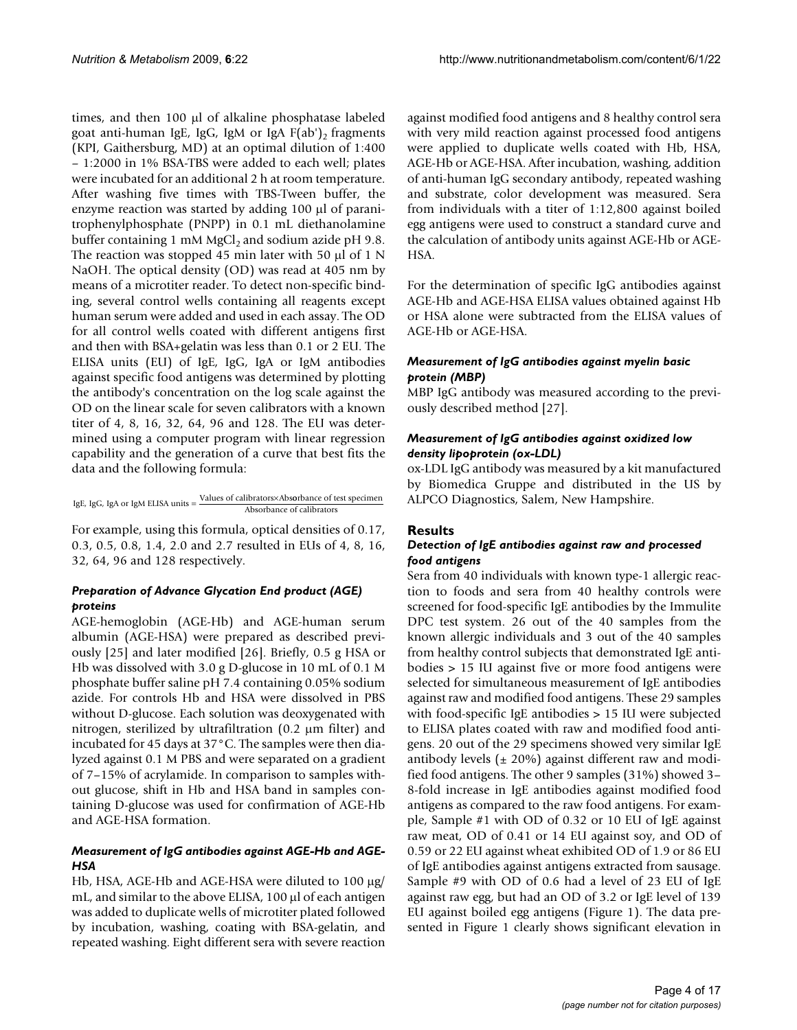times, and then 100 μl of alkaline phosphatase labeled goat anti-human IgE, IgG, IgM or IgA  $F(ab')$ <sub>2</sub> fragments (KPI, Gaithersburg, MD) at an optimal dilution of 1:400 – 1:2000 in 1% BSA-TBS were added to each well; plates were incubated for an additional 2 h at room temperature. After washing five times with TBS-Tween buffer, the enzyme reaction was started by adding 100 μl of paranitrophenylphosphate (PNPP) in 0.1 mL diethanolamine buffer containing 1 mM MgCl<sub>2</sub> and sodium azide pH 9.8. The reaction was stopped 45 min later with 50 μl of 1 N NaOH. The optical density (OD) was read at 405 nm by means of a microtiter reader. To detect non-specific binding, several control wells containing all reagents except human serum were added and used in each assay. The OD for all control wells coated with different antigens first and then with BSA+gelatin was less than 0.1 or 2 EU. The ELISA units (EU) of IgE, IgG, IgA or IgM antibodies against specific food antigens was determined by plotting the antibody's concentration on the log scale against the OD on the linear scale for seven calibrators with a known titer of 4, 8, 16, 32, 64, 96 and 128. The EU was determined using a computer program with linear regression capability and the generation of a curve that best fits the data and the following formula:

IgE, IgG, IgA or IgM ELISA units Values of calibrators Abs <sup>=</sup> <sup>×</sup> orbance of test specimen Absorbance of calibrators

For example, using this formula, optical densities of 0.17, 0.3, 0.5, 0.8, 1.4, 2.0 and 2.7 resulted in EUs of 4, 8, 16, 32, 64, 96 and 128 respectively.

### *Preparation of Advance Glycation End product (AGE) proteins*

AGE-hemoglobin (AGE-Hb) and AGE-human serum albumin (AGE-HSA) were prepared as described previously [25] and later modified [26]. Briefly, 0.5 g HSA or Hb was dissolved with 3.0 g D-glucose in 10 mL of 0.1 M phosphate buffer saline pH 7.4 containing 0.05% sodium azide. For controls Hb and HSA were dissolved in PBS without D-glucose. Each solution was deoxygenated with nitrogen, sterilized by ultrafiltration (0.2 μm filter) and incubated for 45 days at 37°C. The samples were then dialyzed against 0.1 M PBS and were separated on a gradient of 7–15% of acrylamide. In comparison to samples without glucose, shift in Hb and HSA band in samples containing D-glucose was used for confirmation of AGE-Hb and AGE-HSA formation.

### *Measurement of IgG antibodies against AGE-Hb and AGE-HSA*

Hb, HSA, AGE-Hb and AGE-HSA were diluted to 100 μg/ mL, and similar to the above ELISA, 100 μl of each antigen was added to duplicate wells of microtiter plated followed by incubation, washing, coating with BSA-gelatin, and repeated washing. Eight different sera with severe reaction

against modified food antigens and 8 healthy control sera with very mild reaction against processed food antigens were applied to duplicate wells coated with Hb, HSA, AGE-Hb or AGE-HSA. After incubation, washing, addition of anti-human IgG secondary antibody, repeated washing and substrate, color development was measured. Sera from individuals with a titer of 1:12,800 against boiled egg antigens were used to construct a standard curve and the calculation of antibody units against AGE-Hb or AGE-HSA.

For the determination of specific IgG antibodies against AGE-Hb and AGE-HSA ELISA values obtained against Hb or HSA alone were subtracted from the ELISA values of AGE-Hb or AGE-HSA.

### *Measurement of IgG antibodies against myelin basic protein (MBP)*

MBP IgG antibody was measured according to the previously described method [27].

### *Measurement of IgG antibodies against oxidized low density lipoprotein (ox-LDL)*

ox-LDL IgG antibody was measured by a kit manufactured by Biomedica Gruppe and distributed in the US by ALPCO Diagnostics, Salem, New Hampshire.

### **Results**

#### *Detection of IgE antibodies against raw and processed food antigens*

Sera from 40 individuals with known type-1 allergic reaction to foods and sera from 40 healthy controls were screened for food-specific IgE antibodies by the Immulite DPC test system. 26 out of the 40 samples from the known allergic individuals and 3 out of the 40 samples from healthy control subjects that demonstrated IgE antibodies > 15 IU against five or more food antigens were selected for simultaneous measurement of IgE antibodies against raw and modified food antigens. These 29 samples with food-specific IgE antibodies > 15 IU were subjected to ELISA plates coated with raw and modified food antigens. 20 out of the 29 specimens showed very similar IgE antibody levels ( $\pm$  20%) against different raw and modified food antigens. The other 9 samples (31%) showed 3– 8-fold increase in IgE antibodies against modified food antigens as compared to the raw food antigens. For example, Sample #1 with OD of 0.32 or 10 EU of IgE against raw meat, OD of 0.41 or 14 EU against soy, and OD of 0.59 or 22 EU against wheat exhibited OD of 1.9 or 86 EU of IgE antibodies against antigens extracted from sausage. Sample #9 with OD of 0.6 had a level of 23 EU of IgE against raw egg, but had an OD of 3.2 or IgE level of 139 EU against boiled egg antigens (Figure 1). The data presented in Figure 1 clearly shows significant elevation in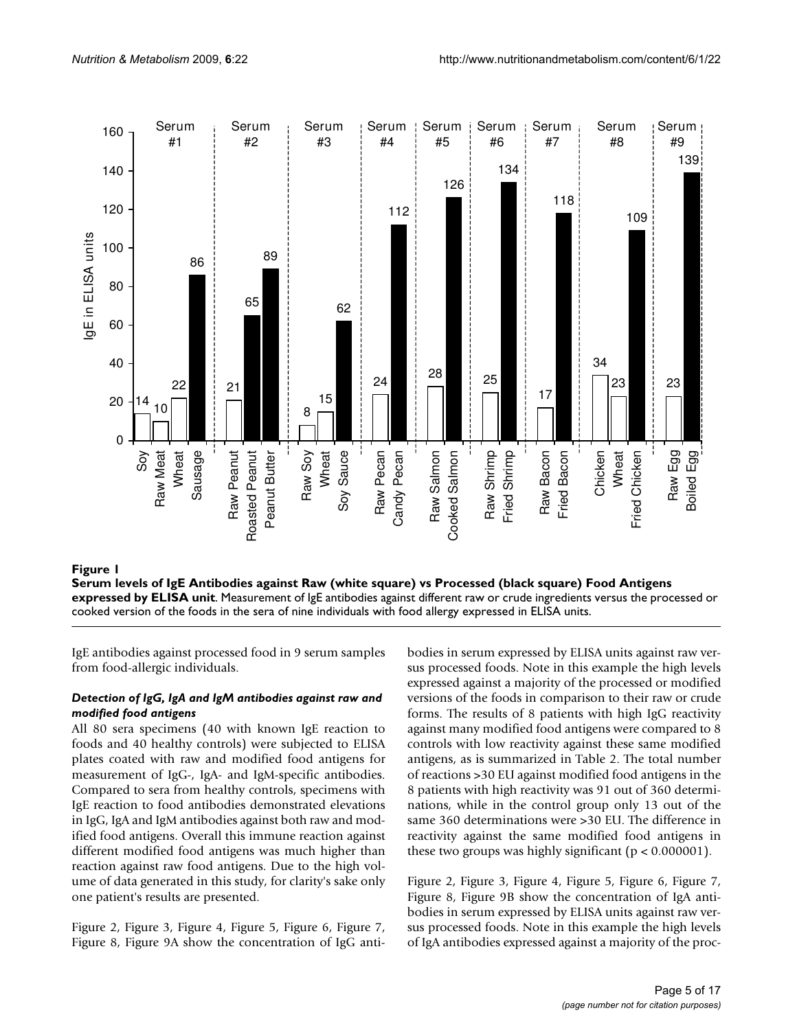

#### **Figure 1** Servels of IgE Antibodies against Raw (white square) vs Processed (black square) Food Antigens expressed by ELISA units against Raw (white square) food Antigens expressed by ELISA units against Raw (white square

**Serum levels of IgE Antibodies against Raw (white square) vs Processed (black square) Food Antigens expressed by ELISA unit**. Measurement of IgE antibodies against different raw or crude ingredients versus the processed or cooked version of the foods in the sera of nine individuals with food allergy expressed in ELISA units.

IgE antibodies against processed food in 9 serum samples from food-allergic individuals.

#### *Detection of IgG, IgA and IgM antibodies against raw and modified food antigens*

All 80 sera specimens (40 with known IgE reaction to foods and 40 healthy controls) were subjected to ELISA plates coated with raw and modified food antigens for measurement of IgG-, IgA- and IgM-specific antibodies. Compared to sera from healthy controls, specimens with IgE reaction to food antibodies demonstrated elevations in IgG, IgA and IgM antibodies against both raw and modified food antigens. Overall this immune reaction against different modified food antigens was much higher than reaction against raw food antigens. Due to the high volume of data generated in this study, for clarity's sake only one patient's results are presented.

Figure 2, Figure 3, Figure 4, Figure 5, Figure 6, Figure 7, Figure 8, Figure 9A show the concentration of IgG antibodies in serum expressed by ELISA units against raw versus processed foods. Note in this example the high levels expressed against a majority of the processed or modified versions of the foods in comparison to their raw or crude forms. The results of 8 patients with high IgG reactivity against many modified food antigens were compared to 8 controls with low reactivity against these same modified antigens, as is summarized in Table 2. The total number of reactions >30 EU against modified food antigens in the 8 patients with high reactivity was 91 out of 360 determinations, while in the control group only 13 out of the same 360 determinations were >30 EU. The difference in reactivity against the same modified food antigens in these two groups was highly significant ( $p < 0.000001$ ).

Figure 2, Figure 3, Figure 4, Figure 5, Figure 6, Figure 7, Figure 8, Figure 9B show the concentration of IgA antibodies in serum expressed by ELISA units against raw versus processed foods. Note in this example the high levels of IgA antibodies expressed against a majority of the proc-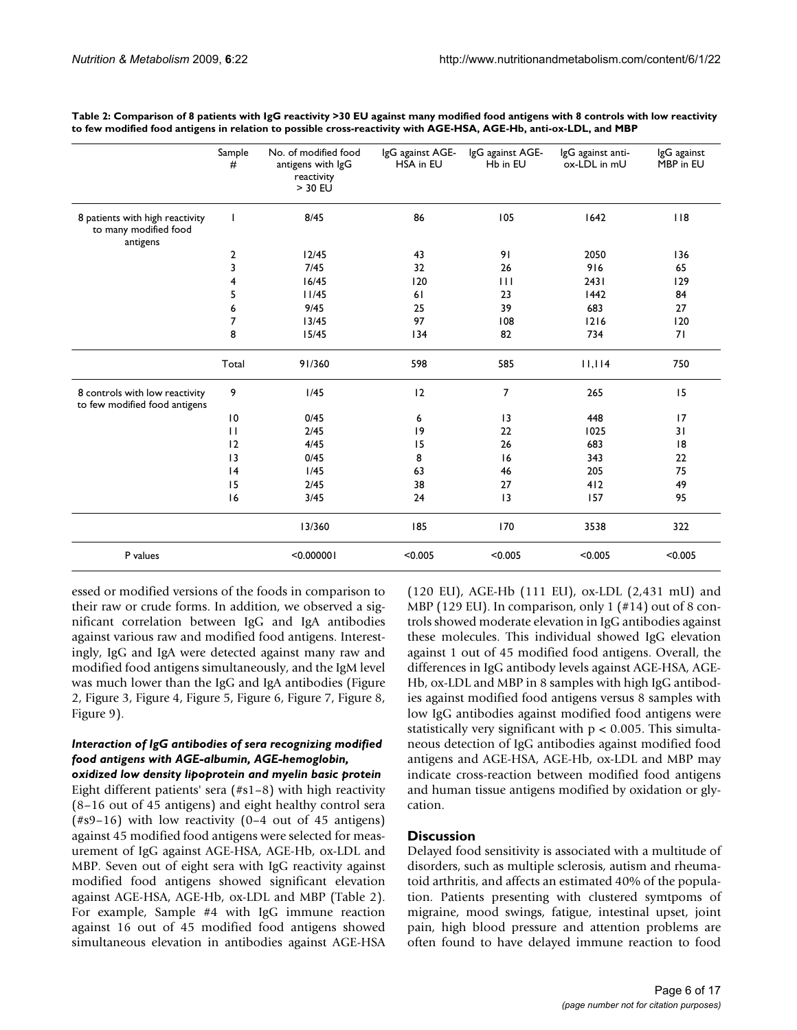|                                                                      | Sample<br>#  | No. of modified food<br>antigens with IgG<br>reactivity<br>> 30 EU | IgG against AGE-<br>HSA in EU | IgG against AGE-<br>Hb in EU | lgG against anti-<br>ox-LDL in mU | IgG against<br>MBP in EU |
|----------------------------------------------------------------------|--------------|--------------------------------------------------------------------|-------------------------------|------------------------------|-----------------------------------|--------------------------|
| 8 patients with high reactivity<br>to many modified food<br>antigens | T            | 8/45                                                               | 86                            | 105                          | 1642                              | $ $ $ $ 8                |
|                                                                      | 2            | 12/45                                                              | 43                            | 91                           | 2050                              | 136                      |
|                                                                      | 3            | 7/45                                                               | 32                            | 26                           | 916                               | 65                       |
|                                                                      | 4            | 16/45                                                              | 120                           | 111                          | 2431                              | 129                      |
|                                                                      | 5            | 11/45                                                              | 61                            | 23                           | 1442                              | 84                       |
|                                                                      | 6            | 9/45                                                               | 25                            | 39                           | 683                               | 27                       |
|                                                                      | 7            | 13/45                                                              | 97                            | 108                          | 1216                              | 120                      |
|                                                                      | 8            | 15/45                                                              | 134                           | 82                           | 734                               | 71                       |
|                                                                      | Total        | 91/360                                                             | 598                           | 585                          | 11,114                            | 750                      |
| 8 controls with low reactivity<br>to few modified food antigens      | 9            | I/45                                                               | 12                            | 7                            | 265                               | 15                       |
|                                                                      | 10           | 0/45                                                               | 6                             | 13                           | 448                               | 17                       |
|                                                                      | $\mathbf{H}$ | 2/45                                                               | 9                             | 22                           | 1025                              | 31                       |
|                                                                      | 12           | 4/45                                                               | 15                            | 26                           | 683                               | 8                        |
|                                                                      | 13           | 0/45                                                               | 8                             | 16                           | 343                               | 22                       |
|                                                                      | 4            | 1/45                                                               | 63                            | 46                           | 205                               | 75                       |
|                                                                      | 15           | 2/45                                                               | 38                            | 27                           | 412                               | 49                       |
|                                                                      | 16           | 3/45                                                               | 24                            | 3                            | 157                               | 95                       |
|                                                                      |              | 13/360                                                             | 185                           | 170                          | 3538                              | 322                      |
| P values                                                             |              | < 0.000001                                                         | < 0.005                       | < 0.005                      | < 0.005                           | < 0.005                  |

**Table 2: Comparison of 8 patients with IgG reactivity >30 EU against many modified food antigens with 8 controls with low reactivity to few modified food antigens in relation to possible cross-reactivity with AGE-HSA, AGE-Hb, anti-ox-LDL, and MBP**

essed or modified versions of the foods in comparison to their raw or crude forms. In addition, we observed a significant correlation between IgG and IgA antibodies against various raw and modified food antigens. Interestingly, IgG and IgA were detected against many raw and modified food antigens simultaneously, and the IgM level was much lower than the IgG and IgA antibodies (Figure 2, Figure 3, Figure 4, Figure 5, Figure 6, Figure 7, Figure 8, Figure 9).

### *Interaction of IgG antibodies of sera recognizing modified food antigens with AGE-albumin, AGE-hemoglobin,*

*oxidized low density lipoprotein and myelin basic protein* Eight different patients' sera (#s1–8) with high reactivity (8–16 out of 45 antigens) and eight healthy control sera (#s9–16) with low reactivity (0–4 out of 45 antigens) against 45 modified food antigens were selected for measurement of IgG against AGE-HSA, AGE-Hb, ox-LDL and MBP. Seven out of eight sera with IgG reactivity against modified food antigens showed significant elevation against AGE-HSA, AGE-Hb, ox-LDL and MBP (Table 2). For example, Sample #4 with IgG immune reaction against 16 out of 45 modified food antigens showed simultaneous elevation in antibodies against AGE-HSA

(120 EU), AGE-Hb (111 EU), ox-LDL (2,431 mU) and MBP (129 EU). In comparison, only 1 (#14) out of 8 controls showed moderate elevation in IgG antibodies against these molecules. This individual showed IgG elevation against 1 out of 45 modified food antigens. Overall, the differences in IgG antibody levels against AGE-HSA, AGE-Hb, ox-LDL and MBP in 8 samples with high IgG antibodies against modified food antigens versus 8 samples with low IgG antibodies against modified food antigens were statistically very significant with  $p < 0.005$ . This simultaneous detection of IgG antibodies against modified food antigens and AGE-HSA, AGE-Hb, ox-LDL and MBP may indicate cross-reaction between modified food antigens and human tissue antigens modified by oxidation or glycation.

### **Discussion**

Delayed food sensitivity is associated with a multitude of disorders, such as multiple sclerosis, autism and rheumatoid arthritis, and affects an estimated 40% of the population. Patients presenting with clustered symtpoms of migraine, mood swings, fatigue, intestinal upset, joint pain, high blood pressure and attention problems are often found to have delayed immune reaction to food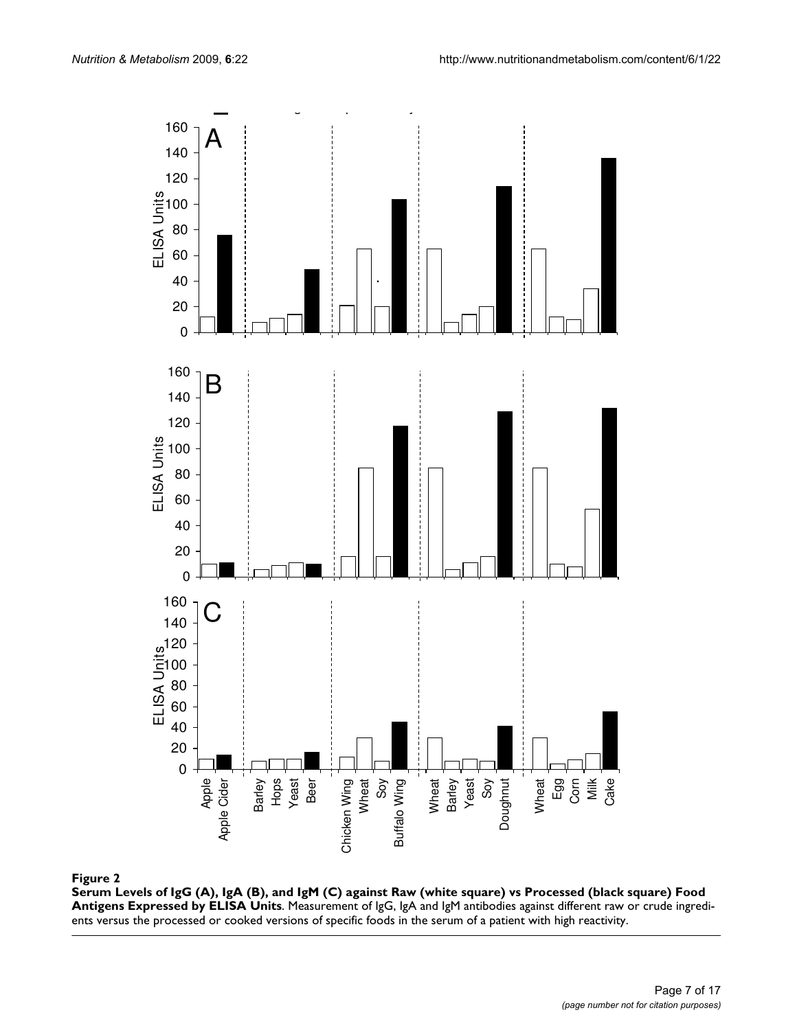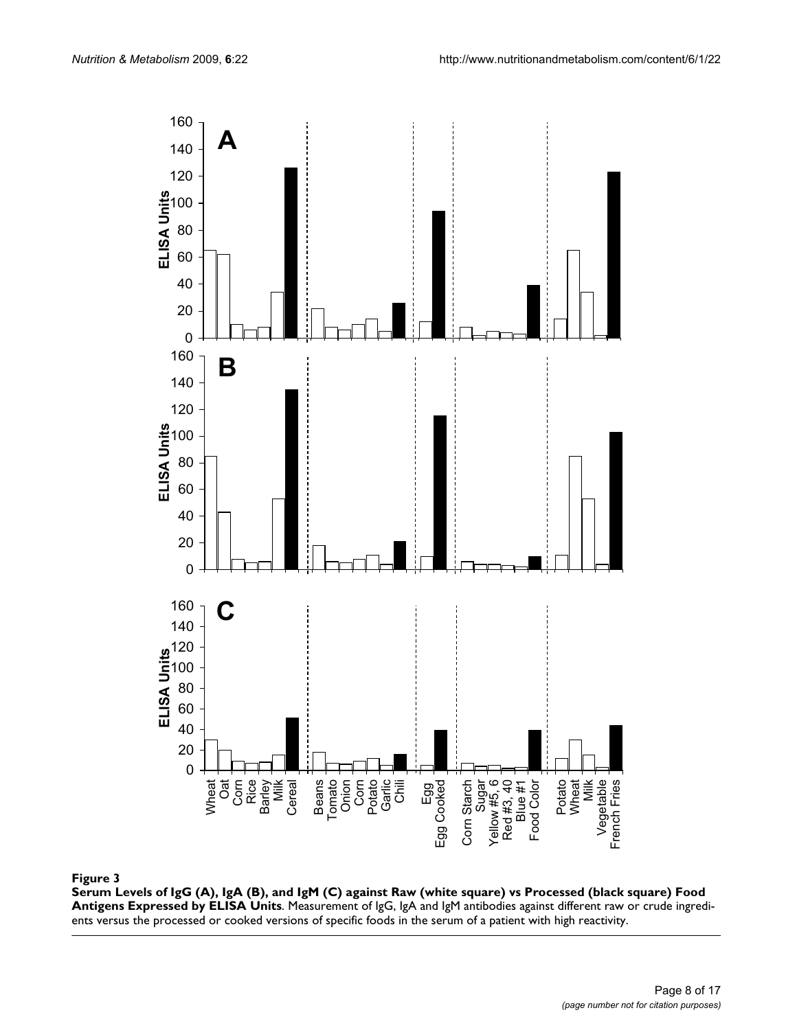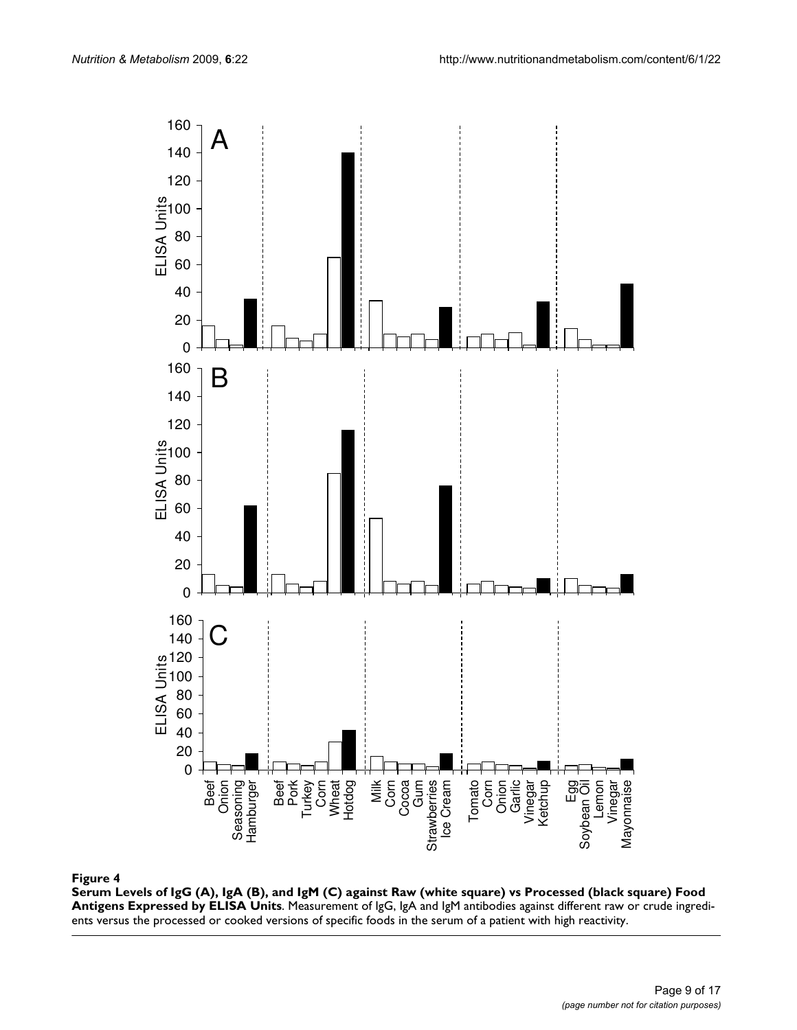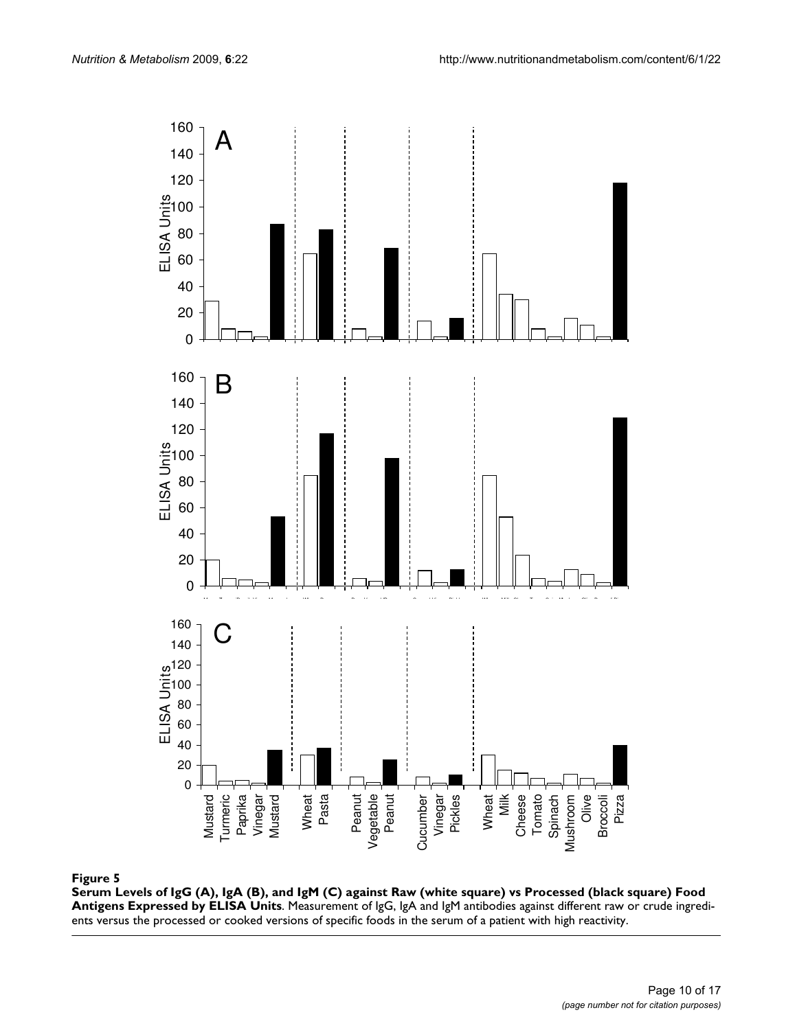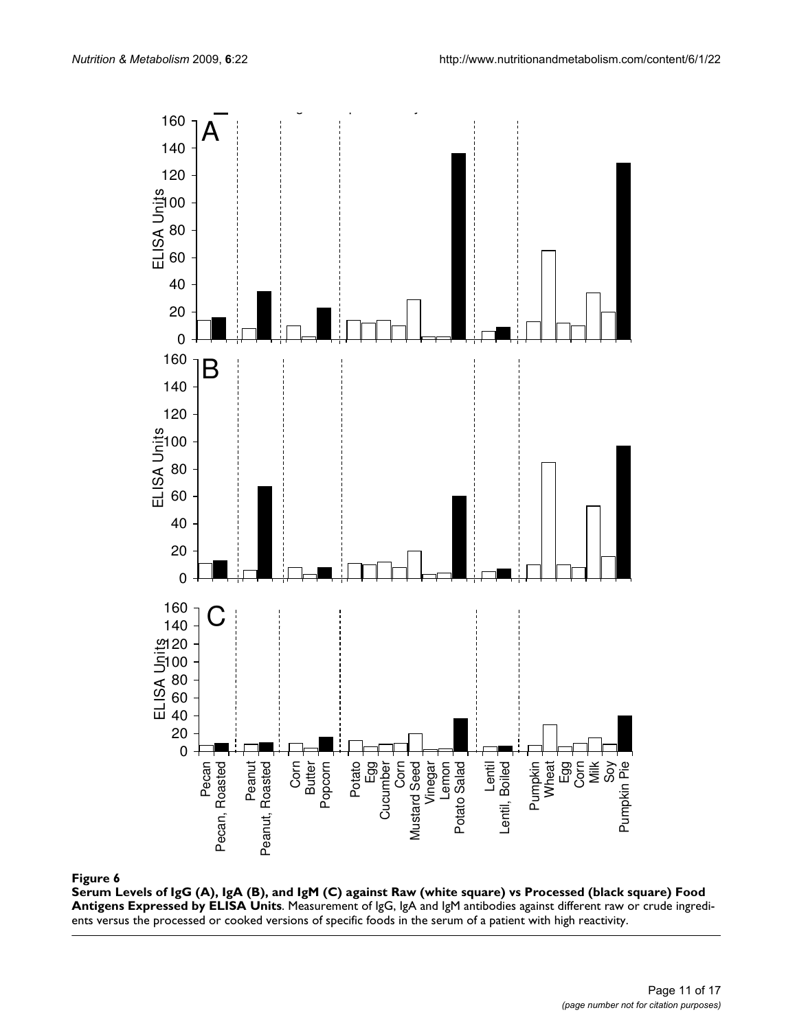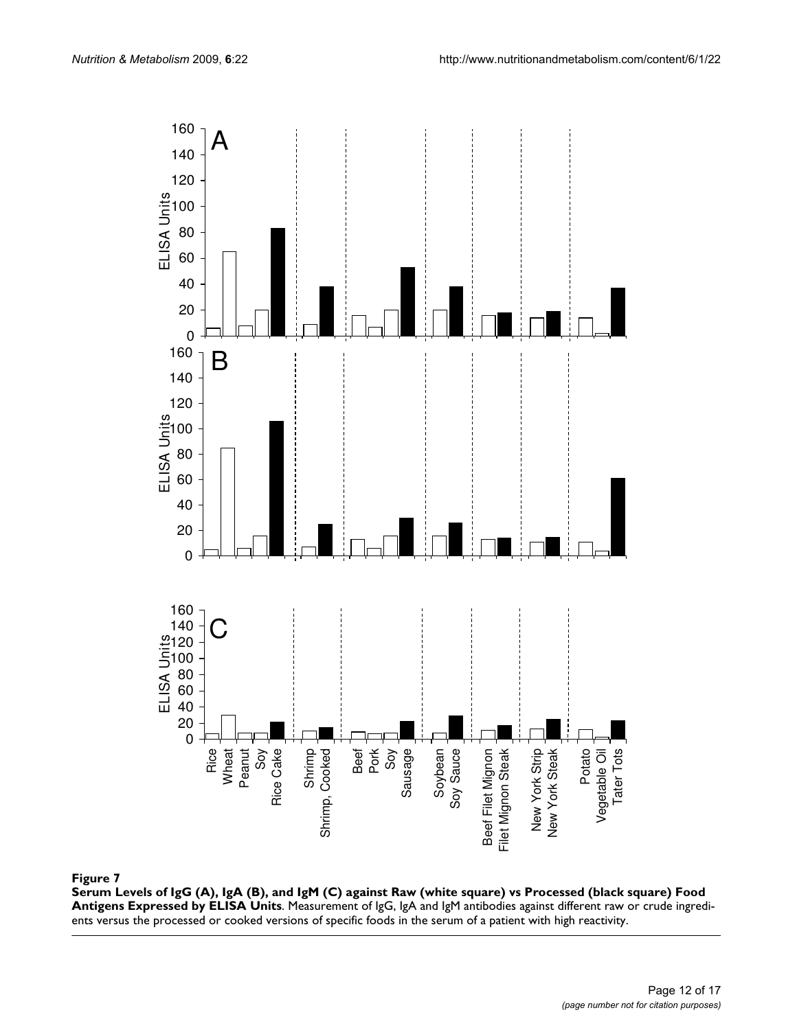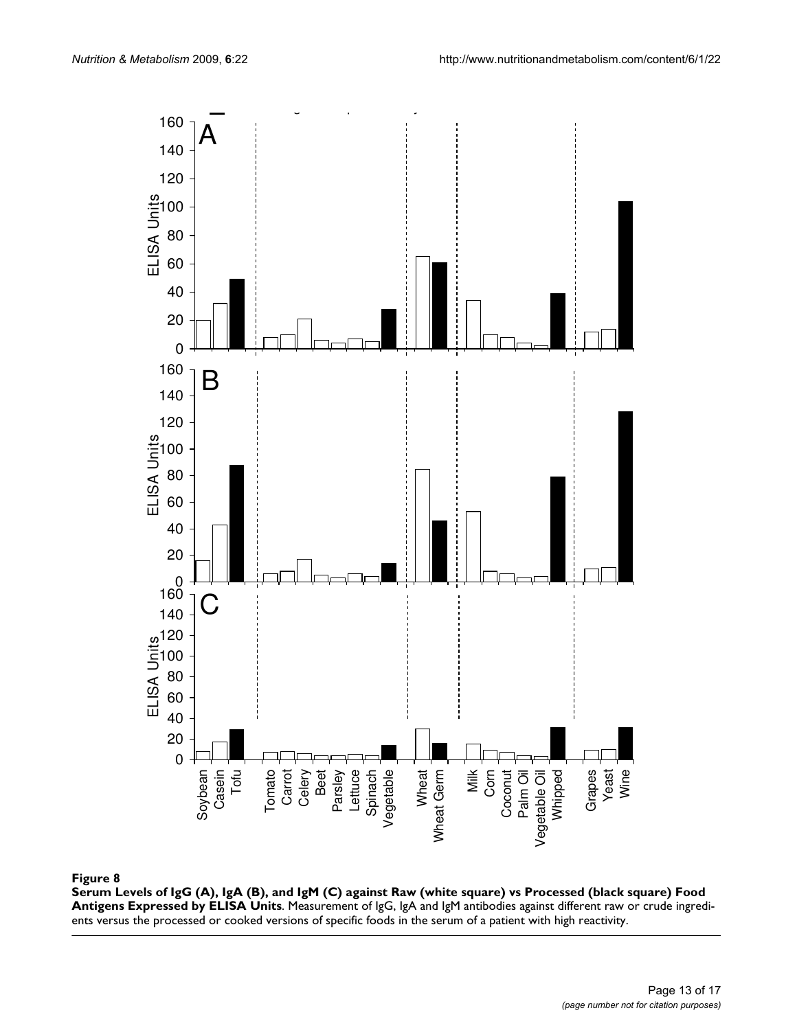

#### by ELISA Units **Figure 8** Serum Levels of IgG (A), IgA (B), and IgM (C) against Raw (white square) vs Processed (black square) Food Antigens Expressed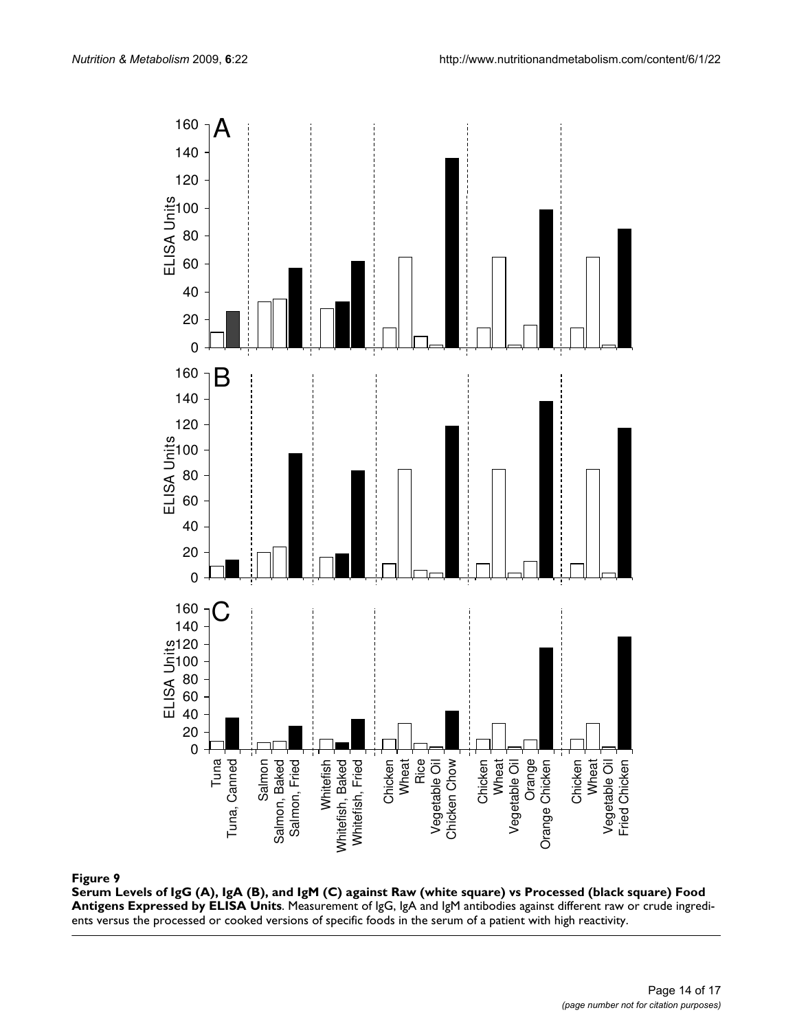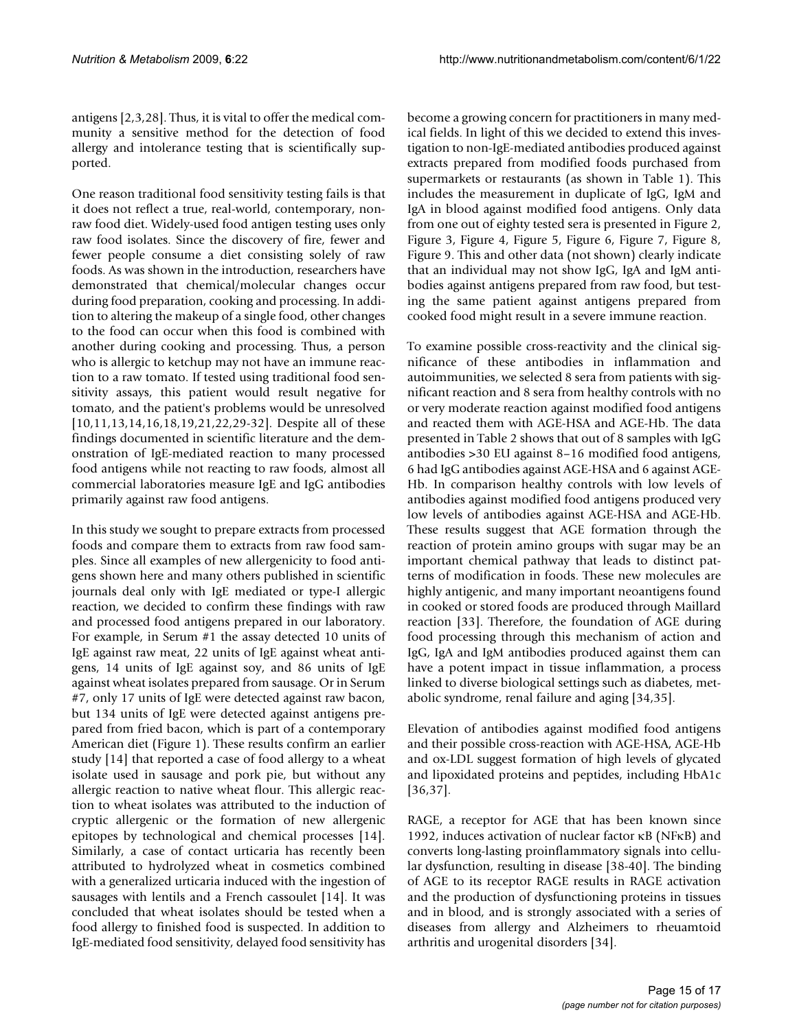antigens [2,3,28]. Thus, it is vital to offer the medical community a sensitive method for the detection of food allergy and intolerance testing that is scientifically supported.

One reason traditional food sensitivity testing fails is that it does not reflect a true, real-world, contemporary, nonraw food diet. Widely-used food antigen testing uses only raw food isolates. Since the discovery of fire, fewer and fewer people consume a diet consisting solely of raw foods. As was shown in the introduction, researchers have demonstrated that chemical/molecular changes occur during food preparation, cooking and processing. In addition to altering the makeup of a single food, other changes to the food can occur when this food is combined with another during cooking and processing. Thus, a person who is allergic to ketchup may not have an immune reaction to a raw tomato. If tested using traditional food sensitivity assays, this patient would result negative for tomato, and the patient's problems would be unresolved [10,11,13,14,16,18,19,21,22,29-32]. Despite all of these findings documented in scientific literature and the demonstration of IgE-mediated reaction to many processed food antigens while not reacting to raw foods, almost all commercial laboratories measure IgE and IgG antibodies primarily against raw food antigens.

In this study we sought to prepare extracts from processed foods and compare them to extracts from raw food samples. Since all examples of new allergenicity to food antigens shown here and many others published in scientific journals deal only with IgE mediated or type-I allergic reaction, we decided to confirm these findings with raw and processed food antigens prepared in our laboratory. For example, in Serum #1 the assay detected 10 units of IgE against raw meat, 22 units of IgE against wheat antigens, 14 units of IgE against soy, and 86 units of IgE against wheat isolates prepared from sausage. Or in Serum #7, only 17 units of IgE were detected against raw bacon, but 134 units of IgE were detected against antigens prepared from fried bacon, which is part of a contemporary American diet (Figure 1). These results confirm an earlier study [14] that reported a case of food allergy to a wheat isolate used in sausage and pork pie, but without any allergic reaction to native wheat flour. This allergic reaction to wheat isolates was attributed to the induction of cryptic allergenic or the formation of new allergenic epitopes by technological and chemical processes [14]. Similarly, a case of contact urticaria has recently been attributed to hydrolyzed wheat in cosmetics combined with a generalized urticaria induced with the ingestion of sausages with lentils and a French cassoulet [14]. It was concluded that wheat isolates should be tested when a food allergy to finished food is suspected. In addition to IgE-mediated food sensitivity, delayed food sensitivity has

become a growing concern for practitioners in many medical fields. In light of this we decided to extend this investigation to non-IgE-mediated antibodies produced against extracts prepared from modified foods purchased from supermarkets or restaurants (as shown in Table 1). This includes the measurement in duplicate of IgG, IgM and IgA in blood against modified food antigens. Only data from one out of eighty tested sera is presented in Figure 2, Figure 3, Figure 4, Figure 5, Figure 6, Figure 7, Figure 8, Figure 9. This and other data (not shown) clearly indicate that an individual may not show IgG, IgA and IgM antibodies against antigens prepared from raw food, but testing the same patient against antigens prepared from cooked food might result in a severe immune reaction.

To examine possible cross-reactivity and the clinical significance of these antibodies in inflammation and autoimmunities, we selected 8 sera from patients with significant reaction and 8 sera from healthy controls with no or very moderate reaction against modified food antigens and reacted them with AGE-HSA and AGE-Hb. The data presented in Table 2 shows that out of 8 samples with IgG antibodies >30 EU against 8–16 modified food antigens, 6 had IgG antibodies against AGE-HSA and 6 against AGE-Hb. In comparison healthy controls with low levels of antibodies against modified food antigens produced very low levels of antibodies against AGE-HSA and AGE-Hb. These results suggest that AGE formation through the reaction of protein amino groups with sugar may be an important chemical pathway that leads to distinct patterns of modification in foods. These new molecules are highly antigenic, and many important neoantigens found in cooked or stored foods are produced through Maillard reaction [33]. Therefore, the foundation of AGE during food processing through this mechanism of action and IgG, IgA and IgM antibodies produced against them can have a potent impact in tissue inflammation, a process linked to diverse biological settings such as diabetes, metabolic syndrome, renal failure and aging [34,35].

Elevation of antibodies against modified food antigens and their possible cross-reaction with AGE-HSA, AGE-Hb and ox-LDL suggest formation of high levels of glycated and lipoxidated proteins and peptides, including HbA1c [36,37].

RAGE, a receptor for AGE that has been known since 1992, induces activation of nuclear factor κB (NFκB) and converts long-lasting proinflammatory signals into cellular dysfunction, resulting in disease [38-40]. The binding of AGE to its receptor RAGE results in RAGE activation and the production of dysfunctioning proteins in tissues and in blood, and is strongly associated with a series of diseases from allergy and Alzheimers to rheuamtoid arthritis and urogenital disorders [34].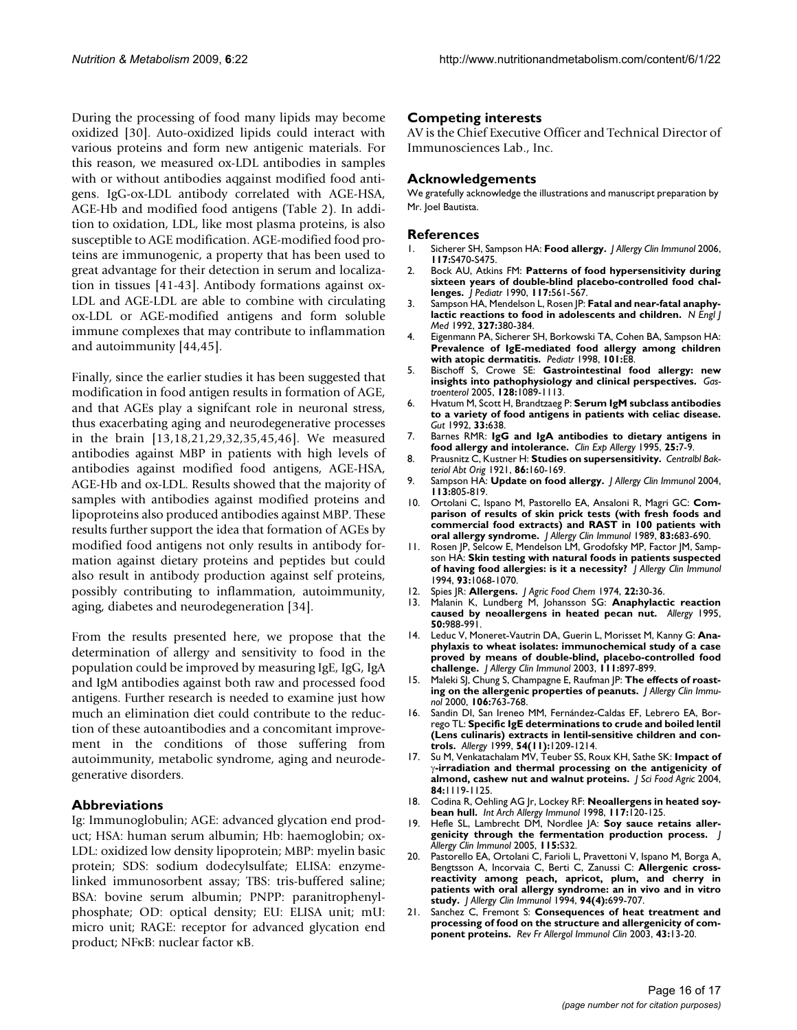During the processing of food many lipids may become oxidized [30]. Auto-oxidized lipids could interact with various proteins and form new antigenic materials. For this reason, we measured ox-LDL antibodies in samples with or without antibodies aqgainst modified food antigens. IgG-ox-LDL antibody correlated with AGE-HSA, AGE-Hb and modified food antigens (Table 2). In addition to oxidation, LDL, like most plasma proteins, is also susceptible to AGE modification. AGE-modified food proteins are immunogenic, a property that has been used to great advantage for their detection in serum and localization in tissues [41-43]. Antibody formations against ox-LDL and AGE-LDL are able to combine with circulating ox-LDL or AGE-modified antigens and form soluble immune complexes that may contribute to inflammation and autoimmunity [44,45].

Finally, since the earlier studies it has been suggested that modification in food antigen results in formation of AGE, and that AGEs play a signifcant role in neuronal stress, thus exacerbating aging and neurodegenerative processes in the brain [13,18,21,29,32,35,45,46]. We measured antibodies against MBP in patients with high levels of antibodies against modified food antigens, AGE-HSA, AGE-Hb and ox-LDL. Results showed that the majority of samples with antibodies against modified proteins and lipoproteins also produced antibodies against MBP. These results further support the idea that formation of AGEs by modified food antigens not only results in antibody formation against dietary proteins and peptides but could also result in antibody production against self proteins, possibly contributing to inflammation, autoimmunity, aging, diabetes and neurodegeneration [34].

From the results presented here, we propose that the determination of allergy and sensitivity to food in the population could be improved by measuring IgE, IgG, IgA and IgM antibodies against both raw and processed food antigens. Further research is needed to examine just how much an elimination diet could contribute to the reduction of these autoantibodies and a concomitant improvement in the conditions of those suffering from autoimmunity, metabolic syndrome, aging and neurodegenerative disorders.

### **Abbreviations**

Ig: Immunoglobulin; AGE: advanced glycation end product; HSA: human serum albumin; Hb: haemoglobin; ox-LDL: oxidized low density lipoprotein; MBP: myelin basic protein; SDS: sodium dodecylsulfate; ELISA: enzymelinked immunosorbent assay; TBS: tris-buffered saline; BSA: bovine serum albumin; PNPP: paranitrophenylphosphate; OD: optical density; EU: ELISA unit; mU: micro unit; RAGE: receptor for advanced glycation end product; NFκB: nuclear factor κB.

### **Competing interests**

AV is the Chief Executive Officer and Technical Director of Immunosciences Lab., Inc.

### **Acknowledgements**

We gratefully acknowledge the illustrations and manuscript preparation by Mr. Joel Bautista.

#### **References**

- 1. Sicherer SH, Sampson HA: **[Food allergy.](http://www.ncbi.nlm.nih.gov/entrez/query.fcgi?cmd=Retrieve&db=PubMed&dopt=Abstract&list_uids=16455349)** *J Allergy Clin Immunol* 2006, **117:**S470-S475.
- 2. Bock AU, Atkins FM: **[Patterns of food hypersensitivity during](http://www.ncbi.nlm.nih.gov/entrez/query.fcgi?cmd=Retrieve&db=PubMed&dopt=Abstract&list_uids=2213379) [sixteen years of double-blind placebo-controlled food chal](http://www.ncbi.nlm.nih.gov/entrez/query.fcgi?cmd=Retrieve&db=PubMed&dopt=Abstract&list_uids=2213379)[lenges.](http://www.ncbi.nlm.nih.gov/entrez/query.fcgi?cmd=Retrieve&db=PubMed&dopt=Abstract&list_uids=2213379)** *J Pediatr* 1990, **117:**561-567.
- 3. Sampson HA, Mendelson L, Rosen JP: **[Fatal and near-fatal anaphy](http://www.ncbi.nlm.nih.gov/entrez/query.fcgi?cmd=Retrieve&db=PubMed&dopt=Abstract&list_uids=1294076)[lactic reactions to food in adolescents and children.](http://www.ncbi.nlm.nih.gov/entrez/query.fcgi?cmd=Retrieve&db=PubMed&dopt=Abstract&list_uids=1294076)** *N Engl J Med* 1992, **327:**380-384.
- 4. Eigenmann PA, Sicherer SH, Borkowski TA, Cohen BA, Sampson HA: **Prevalence of IgE-mediated food allergy among children with atopic dermatitis.** *Pediatr* 1998, **101:**E8.
- 5. Bischoff S, Crowe SE: **Gastrointestinal food allergy: new insights into pathophysiology and clinical perspectives.** *Gastroenterol* 2005, **128:**1089-1113.
- 6. Hvatum M, Scott H, Brandtzaeg P: **Serum IgM subclass antibodies to a variety of food antigens in patients with celiac disease.** *Gut* 1992, **33:**638.
- 7. Barnes RMR: **[IgG and IgA antibodies to dietary antigens in](http://www.ncbi.nlm.nih.gov/entrez/query.fcgi?cmd=Retrieve&db=PubMed&dopt=Abstract&list_uids=8542462) [food allergy and intolerance.](http://www.ncbi.nlm.nih.gov/entrez/query.fcgi?cmd=Retrieve&db=PubMed&dopt=Abstract&list_uids=8542462)** *Clin Exp Allergy* 1995, **25:**7-9.
- 8. Prausnitz C, Kustner H: **Studies on supersensitivity.** *Centralbl Bakteriol Abt Orig* 1921, **86:**160-169.
- 9. Sampson HA: **[Update on food allergy.](http://www.ncbi.nlm.nih.gov/entrez/query.fcgi?cmd=Retrieve&db=PubMed&dopt=Abstract&list_uids=15131561)** *J Allergy Clin Immunol* 2004, **113:**805-819.
- 10. Ortolani C, Ispano M, Pastorello EA, Ansaloni R, Magri GC: **[Com](http://www.ncbi.nlm.nih.gov/entrez/query.fcgi?cmd=Retrieve&db=PubMed&dopt=Abstract&list_uids=2926087)[parison of results of skin prick tests \(with fresh foods and](http://www.ncbi.nlm.nih.gov/entrez/query.fcgi?cmd=Retrieve&db=PubMed&dopt=Abstract&list_uids=2926087) commercial food extracts) and RAST in 100 patients with [oral allergy syndrome.](http://www.ncbi.nlm.nih.gov/entrez/query.fcgi?cmd=Retrieve&db=PubMed&dopt=Abstract&list_uids=2926087)** *J Allergy Clin Immunol* 1989, **83:**683-690.
- 11. Rosen JP, Selcow E, Mendelson LM, Grodofsky MP, Factor JM, Sampson HA: **[Skin testing with natural foods in patients suspected](http://www.ncbi.nlm.nih.gov/entrez/query.fcgi?cmd=Retrieve&db=PubMed&dopt=Abstract&list_uids=8006311) [of having food allergies: is it a necessity?](http://www.ncbi.nlm.nih.gov/entrez/query.fcgi?cmd=Retrieve&db=PubMed&dopt=Abstract&list_uids=8006311)** *J Allergy Clin Immunol* 1994, **93:**1068-1070.
- 12. Spies JR: **[Allergens.](http://www.ncbi.nlm.nih.gov/entrez/query.fcgi?cmd=Retrieve&db=PubMed&dopt=Abstract&list_uids=4130038)** *J Agric Food Chem* 1974, **22:**30-36.
- 13. Malanin K, Lundberg M, Johansson SG: **[Anaphylactic reaction](http://www.ncbi.nlm.nih.gov/entrez/query.fcgi?cmd=Retrieve&db=PubMed&dopt=Abstract&list_uids=8834830) [caused by neoallergens in heated pecan nut.](http://www.ncbi.nlm.nih.gov/entrez/query.fcgi?cmd=Retrieve&db=PubMed&dopt=Abstract&list_uids=8834830)** *Allergy* 1995, **50:**988-991.
- 14. Leduc V, Moneret-Vautrin DA, Guerin L, Morisset M, Kanny G: **[Ana](http://www.ncbi.nlm.nih.gov/entrez/query.fcgi?cmd=Retrieve&db=PubMed&dopt=Abstract&list_uids=12704375)[phylaxis to wheat isolates: immunochemical study of a case](http://www.ncbi.nlm.nih.gov/entrez/query.fcgi?cmd=Retrieve&db=PubMed&dopt=Abstract&list_uids=12704375) proved by means of double-blind, placebo-controlled food [challenge.](http://www.ncbi.nlm.nih.gov/entrez/query.fcgi?cmd=Retrieve&db=PubMed&dopt=Abstract&list_uids=12704375)** *J Allergy Clin Immunol* 2003, **111:**897-899.
- 15. Maleki SJ, Chung S, Champagne E, Raufman JP: **[The effects of roast](http://www.ncbi.nlm.nih.gov/entrez/query.fcgi?cmd=Retrieve&db=PubMed&dopt=Abstract&list_uids=11031348)[ing on the allergenic properties of peanuts.](http://www.ncbi.nlm.nih.gov/entrez/query.fcgi?cmd=Retrieve&db=PubMed&dopt=Abstract&list_uids=11031348)** *J Allergy Clin Immunol* 2000, **106:**763-768.
- 16. Sandin DI, San Ireneo MM, Fernández-Caldas EF, Lebrero EA, Borrego TL: **[Specific IgE determinations to crude and boiled lentil](http://www.ncbi.nlm.nih.gov/entrez/query.fcgi?cmd=Retrieve&db=PubMed&dopt=Abstract&list_uids=10604559) [\(Lens culinaris\) extracts in lentil-sensitive children and con](http://www.ncbi.nlm.nih.gov/entrez/query.fcgi?cmd=Retrieve&db=PubMed&dopt=Abstract&list_uids=10604559)[trols.](http://www.ncbi.nlm.nih.gov/entrez/query.fcgi?cmd=Retrieve&db=PubMed&dopt=Abstract&list_uids=10604559)** *Allergy* 1999, **54(11):**1209-1214.
- 17. Su M, Venkatachalam MV, Teuber SS, Roux KH, Sathe SK: **Impact of** γ**-irradiation and thermal processing on the antigenicity of almond, cashew nut and walnut proteins.** *J Sci Food Agric* 2004, **84:**1119-1125.
- 18. Codina R, Oehling AG Jr, Lockey RF: **[Neoallergens in heated soy](http://www.ncbi.nlm.nih.gov/entrez/query.fcgi?cmd=Retrieve&db=PubMed&dopt=Abstract&list_uids=9784655)[bean hull.](http://www.ncbi.nlm.nih.gov/entrez/query.fcgi?cmd=Retrieve&db=PubMed&dopt=Abstract&list_uids=9784655)** *Int Arch Allergy Immunol* 1998, **117:**120-125.
- 19. Hefle SL, Lambrecht DM, Nordlee JA: **Soy sauce retains allergenicity through the fermentation production process.** *J Allergy Clin Immunol* 2005, **115:**S32.
- 20. Pastorello EA, Ortolani C, Farioli L, Pravettoni V, Ispano M, Borga A, Bengtsson A, Incorvaia C, Berti C, Zanussi C: **[Allergenic cross](http://www.ncbi.nlm.nih.gov/entrez/query.fcgi?cmd=Retrieve&db=PubMed&dopt=Abstract&list_uids=7930303)[reactivity among peach, apricot, plum, and cherry in](http://www.ncbi.nlm.nih.gov/entrez/query.fcgi?cmd=Retrieve&db=PubMed&dopt=Abstract&list_uids=7930303) patients with oral allergy syndrome: an in vivo and in vitro [study.](http://www.ncbi.nlm.nih.gov/entrez/query.fcgi?cmd=Retrieve&db=PubMed&dopt=Abstract&list_uids=7930303)** *J Allergy Clin Immunol* 1994, **94(4):**699-707.
- 21. Sanchez C, Fremont S: **Consequences of heat treatment and processing of food on the structure and allergenicity of component proteins.** *Rev Fr Allergol Immunol Clin* 2003, **43:**13-20.